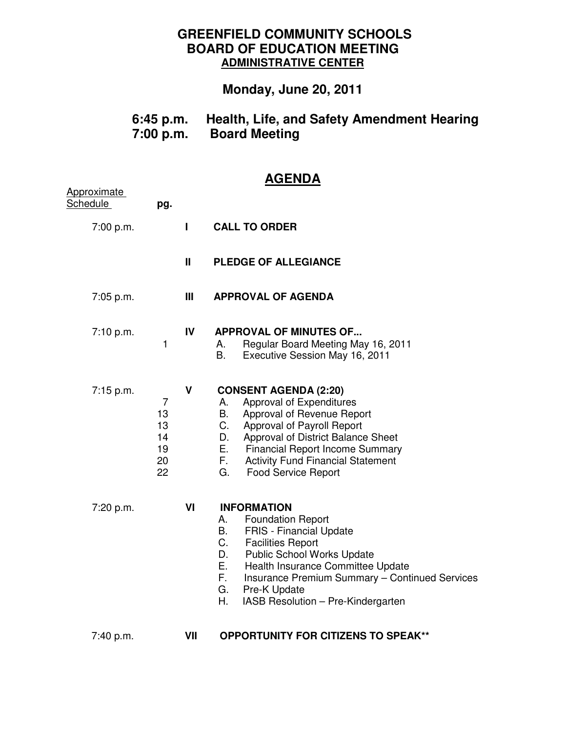## **GREENFIELD COMMUNITY SCHOOLS BOARD OF EDUCATION MEETING ADMINISTRATIVE CENTER**

## **Monday, June 20, 2011**

| $6:45$ p.m. | Health, Life, and Safety Amendment Hearing |
|-------------|--------------------------------------------|
| 7:00 p.m.   | <b>Board Meeting</b>                       |

## **AGENDA**

| <b>Approximate</b><br><b>Schedule</b> | pg.                                                |              |                                                                                                                                                                                                                                                                                                                                                       |
|---------------------------------------|----------------------------------------------------|--------------|-------------------------------------------------------------------------------------------------------------------------------------------------------------------------------------------------------------------------------------------------------------------------------------------------------------------------------------------------------|
| 7:00 p.m.                             |                                                    | L            | <b>CALL TO ORDER</b>                                                                                                                                                                                                                                                                                                                                  |
|                                       |                                                    | $\mathbf{I}$ | <b>PLEDGE OF ALLEGIANCE</b>                                                                                                                                                                                                                                                                                                                           |
| 7:05 p.m.                             |                                                    | Ш            | <b>APPROVAL OF AGENDA</b>                                                                                                                                                                                                                                                                                                                             |
| 7:10 p.m.                             | 1                                                  | IV           | <b>APPROVAL OF MINUTES OF</b><br>Regular Board Meeting May 16, 2011<br>А.<br>В.<br>Executive Session May 16, 2011                                                                                                                                                                                                                                     |
| 7:15 p.m.                             | $\overline{7}$<br>13<br>13<br>14<br>19<br>20<br>22 | $\mathsf{V}$ | <b>CONSENT AGENDA (2:20)</b><br>Approval of Expenditures<br>А.<br>В.<br>Approval of Revenue Report<br>C.<br>Approval of Payroll Report<br>Approval of District Balance Sheet<br>D.<br>Е.<br><b>Financial Report Income Summary</b><br>F.<br><b>Activity Fund Financial Statement</b><br>G.<br><b>Food Service Report</b>                              |
| 7:20 p.m.                             |                                                    | VI           | <b>INFORMATION</b><br><b>Foundation Report</b><br>А.<br><b>FRIS</b> - Financial Update<br>B.<br>C.<br><b>Facilities Report</b><br><b>Public School Works Update</b><br>D.<br>Health Insurance Committee Update<br>E.<br>F.<br><b>Insurance Premium Summary - Continued Services</b><br>G.<br>Pre-K Update<br>Η.<br>IASB Resolution - Pre-Kindergarten |
| 7:40 p.m.                             |                                                    | VII          | <b>OPPORTUNITY FOR CITIZENS TO SPEAK**</b>                                                                                                                                                                                                                                                                                                            |